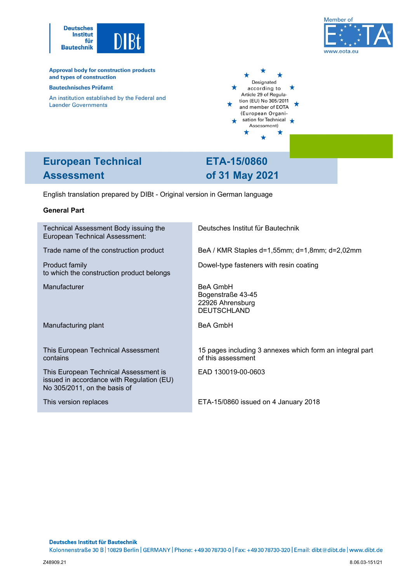



**Approval body for construction products** and types of construction

#### **Bautechnisches Prüfamt**

An institution established by the Federal and **Laender Governments** 



# **European Technical Assessment**

**ETA-15/0860 of 31 May 2021** 

English translation prepared by DIBt - Original version in German language

## **General Part**

| Technical Assessment Body issuing the<br><b>European Technical Assessment:</b>                                     | Deutsches Institut für Bautechnik                                              |
|--------------------------------------------------------------------------------------------------------------------|--------------------------------------------------------------------------------|
| Trade name of the construction product                                                                             | BeA / KMR Staples d=1,55mm; d=1,8mm; d=2,02mm                                  |
| Product family<br>to which the construction product belongs                                                        | Dowel-type fasteners with resin coating                                        |
| Manufacturer                                                                                                       | <b>BeA GmbH</b><br>Bogenstraße 43-45<br>22926 Ahrensburg<br><b>DEUTSCHLAND</b> |
| Manufacturing plant                                                                                                | <b>BeA GmbH</b>                                                                |
| This European Technical Assessment<br>contains                                                                     | 15 pages including 3 annexes which form an integral part<br>of this assessment |
| This European Technical Assessment is<br>issued in accordance with Regulation (EU)<br>No 305/2011, on the basis of | EAD 130019-00-0603                                                             |
| This version replaces                                                                                              | ETA-15/0860 issued on 4 January 2018                                           |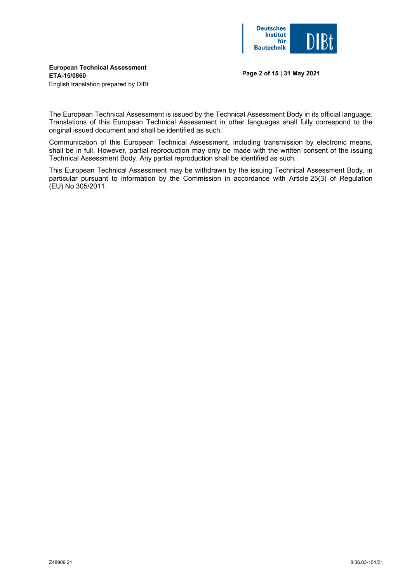

# **European Technical Assessment ETA-15/0860**

**Page 2 of 15 | 31 May 2021** 

English translation prepared by DIBt

The European Technical Assessment is issued by the Technical Assessment Body in its official language. Translations of this European Technical Assessment in other languages shall fully correspond to the original issued document and shall be identified as such.

Communication of this European Technical Assessment, including transmission by electronic means, shall be in full. However, partial reproduction may only be made with the written consent of the issuing Technical Assessment Body. Any partial reproduction shall be identified as such.

This European Technical Assessment may be withdrawn by the issuing Technical Assessment Body, in particular pursuant to information by the Commission in accordance with Article 25(3) of Regulation (EU) No 305/2011.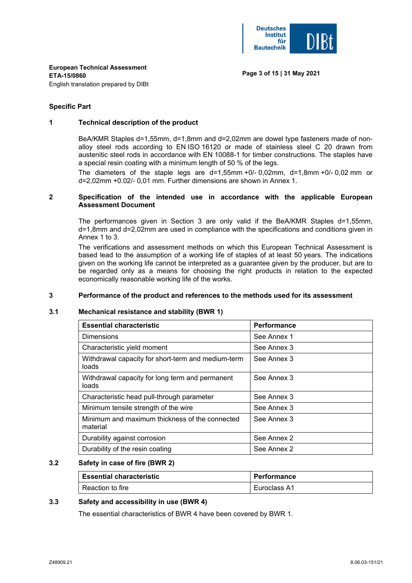

**Page 3 of 15 | 31 May 2021** 

**European Technical Assessment ETA-15/0860**  English translation prepared by DIBt

## **Specific Part**

### **1 Technical description of the product**

BeA/KMR Staples d=1,55mm, d=1,8mm and d=2,02mm are dowel type fasteners made of nonalloy steel rods according to EN ISO 16120 or made of stainless steel C 20 drawn from austenitic steel rods in accordance with EN 10088-1 for timber constructions. The staples have a special resin coating with a minimum length of 50 % of the legs.

The diameters of the staple legs are  $d=1,55$ mm +0/- 0,02mm,  $d=1,8$ mm +0/- 0,02 mm or d=2,02mm +0.02/- 0,01 mm. Further dimensions are shown in Annex 1.

# **2 Specification of the intended use in accordance with the applicable European Assessment Document**

The performances given in Section 3 are only valid if the BeA/KMR Staples d=1,55mm, d=1,8mm and d=2,02mm are used in compliance with the specifications and conditions given in Annex 1 to 3.

 The verifications and assessment methods on which this European Technical Assessment is based lead to the assumption of a working life of staples of at least 50 years. The indications given on the working life cannot be interpreted as a guarantee given by the producer, but are to be regarded only as a means for choosing the right products in relation to the expected economically reasonable working life of the works.

### **3 Performance of the product and references to the methods used for its assessment**

### **3.1 Mechanical resistance and stability (BWR 1)**

| <b>Essential characteristic</b>                             | Performance |
|-------------------------------------------------------------|-------------|
| <b>Dimensions</b>                                           | See Annex 1 |
| Characteristic yield moment                                 | See Annex 3 |
| Withdrawal capacity for short-term and medium-term<br>loads | See Annex 3 |
| Withdrawal capacity for long term and permanent<br>loads    | See Annex 3 |
| Characteristic head pull-through parameter                  | See Annex 3 |
| Minimum tensile strength of the wire                        | See Annex 3 |
| Minimum and maximum thickness of the connected<br>material  | See Annex 3 |
| Durability against corrosion                                | See Annex 2 |
| Durability of the resin coating                             | See Annex 2 |

### **3.2 Safety in case of fire (BWR 2)**

| <b>Essential characteristic</b> | Performance  |
|---------------------------------|--------------|
| Reaction to fire                | Euroclass A1 |

### **3.3 Safety and accessibility in use (BWR 4)**

The essential characteristics of BWR 4 have been covered by BWR 1.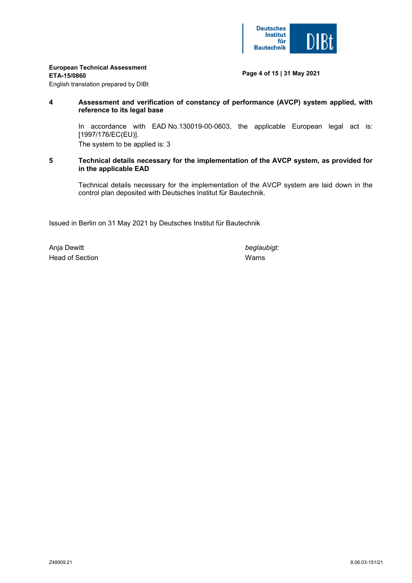

# **European Technical Assessment**

### **ETA-15/0860**

# **Page 4 of 15 | 31 May 2021**

English translation prepared by DIBt

# **4 Assessment and verification of constancy of performance (AVCP) system applied, with reference to its legal base**

 In accordance with EAD No.130019-00-0603, the applicable European legal act is: [1997/176/EC(EU)].

The system to be applied is: 3

# **5 Technical details necessary for the implementation of the AVCP system, as provided for in the applicable EAD**

Technical details necessary for the implementation of the AVCP system are laid down in the control plan deposited with Deutsches Institut für Bautechnik.

Issued in Berlin on 31 May 2021 by Deutsches Institut für Bautechnik

Anja Dewitt *beglaubigt:* Head of Section National Contract of Section National Contract of Section National Contract of National Contract of National Contract of National Contract of National Contract of National Contract of National Contract of N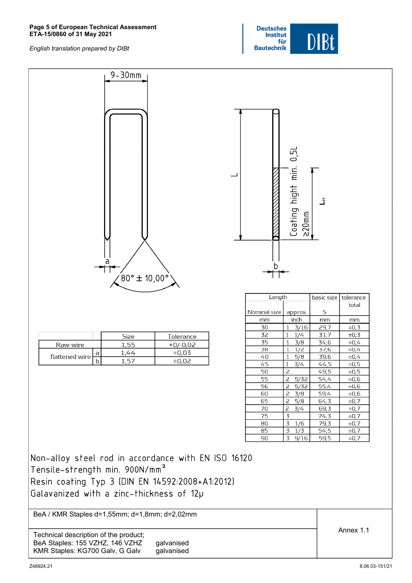#### **Page 5 of European Technical Assessment ETA-15/0860 of 31 May 2021**



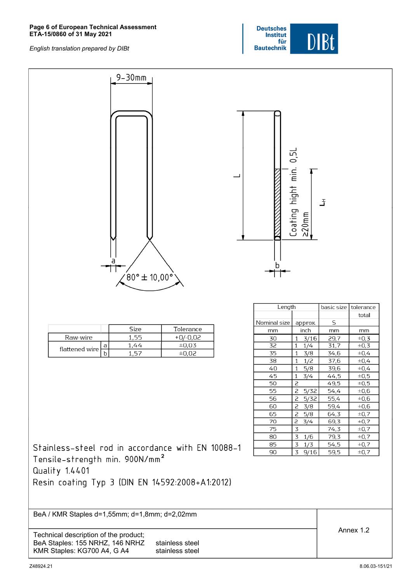#### **Page 6 of European Technical Assessment ETA-15/0860 of 31 May 2021**



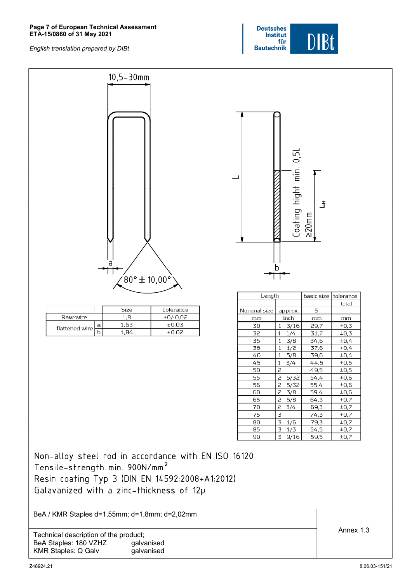#### **Page 7 of European Technical Assessment ETA-15/0860 of 31 May 2021**

*English translation prepared by DIBt*





KMR Staples: Q Galv galvanised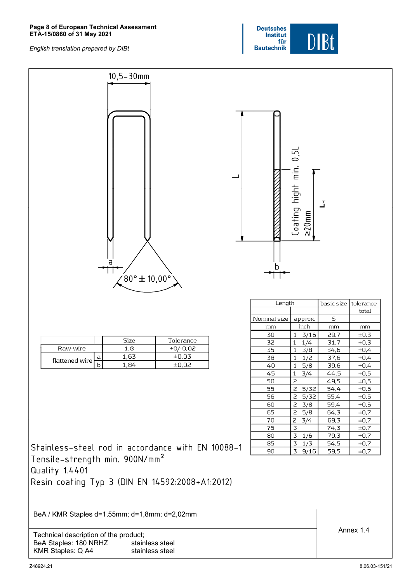#### **Page 8 of European Technical Assessment ETA-15/0860 of 31 May 2021**



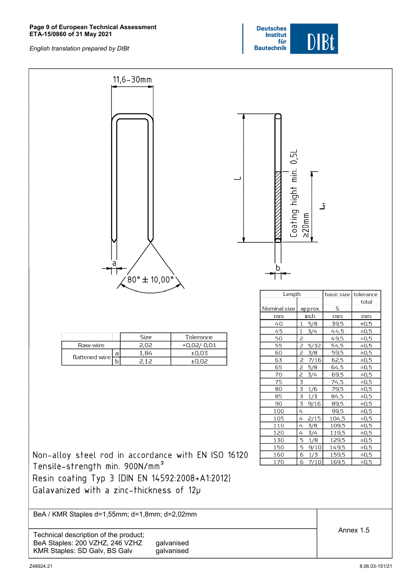#### **Page 9 of European Technical Assessment ETA-15/0860 of 31 May 2021**



| $11,6 - 30$ mm<br>a<br>$(80° \pm 10,00°)$                                                                                             | Coating hight min. 0,51 | $\geq$ 20mm       | Ŧ              |                        |
|---------------------------------------------------------------------------------------------------------------------------------------|-------------------------|-------------------|----------------|------------------------|
|                                                                                                                                       | Length                  |                   | basic size     | tolerance              |
|                                                                                                                                       |                         |                   |                | total                  |
|                                                                                                                                       | Nominal size            | approx.           | $\mathsf S$    |                        |
|                                                                                                                                       | mm<br>1                 | inch              | mm             | mm                     |
|                                                                                                                                       | 40<br>45<br>1           | 5/8<br>3/4        | 39,5<br>44,5   | $\pm 0.5$<br>$\pm 0,5$ |
| Size<br>Tolerance                                                                                                                     | $\overline{c}$<br>50    |                   | 49,5           | $\pm 0,5$              |
| Raw-wire<br>2,02<br>$+0,02/-0,01$                                                                                                     | 2<br>55                 | 5/32              | 54,5           | $\pm 0,5$              |
| 1,84<br>±0,03<br>а                                                                                                                    | $\overline{z}$<br>60    | 3/8               | 59,5           | $\pm 0,5$              |
| flattened wire<br>$\overline{b}$<br>2,12<br>±0,02                                                                                     | 63<br>2                 | 7/16              | 62,5           | $\pm 0.5$              |
|                                                                                                                                       | 65<br>2                 | 5/8               | 64,5           | $\pm 0.5$              |
|                                                                                                                                       | 70<br>2                 | 3/4               | 69,5           | $\pm 0.5$              |
|                                                                                                                                       | 3<br>75                 |                   | 74,5           | $\pm 0,5$              |
|                                                                                                                                       | $\overline{3}$<br>80    | 1/6               | 79,5           | $\pm 0,5$              |
|                                                                                                                                       | 85                      | $3 \t1/3$         | 84,5           | $\pm 0,5$              |
|                                                                                                                                       | 90                      | $3 \frac{9}{16}$  | 89,5           | $\pm 0.5$              |
|                                                                                                                                       | 100<br>4                |                   | 99,5           | $\pm 0.5$              |
|                                                                                                                                       | $4 -$<br>105            | 2/15              | 104,5          | $\pm 0,5$              |
|                                                                                                                                       | 110<br>$\overline{4}$   | 3/8               | 109,5          | $\pm 0,5$              |
|                                                                                                                                       | 120<br>4                | 3/4               | 119,5          | $\pm 0.5$              |
|                                                                                                                                       | 5<br>130<br>5<br>150    | 1/8               | 129,5          | $\pm 0.5$<br>$\pm 0.5$ |
| Non-alloy steel rod in accordance with EN ISO 16120                                                                                   | 160                     | 9/10<br>$6 \t1/3$ | 149,5<br>159,5 | $\pm 0.5$              |
|                                                                                                                                       | 170<br>6                | 7/10              | 169,5          | $\pm 0.5$              |
| Tensile-strength min. 900N/mm <sup>2</sup>                                                                                            |                         |                   |                |                        |
| Resin coating Typ 3 (DIN EN 14592:2008+A1:2012)                                                                                       |                         |                   |                |                        |
| Galavanized with a zinc-thickness of 12p                                                                                              |                         |                   |                |                        |
| BeA / KMR Staples d=1,55mm; d=1,8mm; d=2,02mm                                                                                         |                         |                   |                |                        |
| Technical description of the product;<br>BeA Staples: 200 VZHZ, 246 VZHZ<br>galvanised<br>KMR Staples: SD Galv, BS Galv<br>galvanised |                         |                   |                | Annex 1.5              |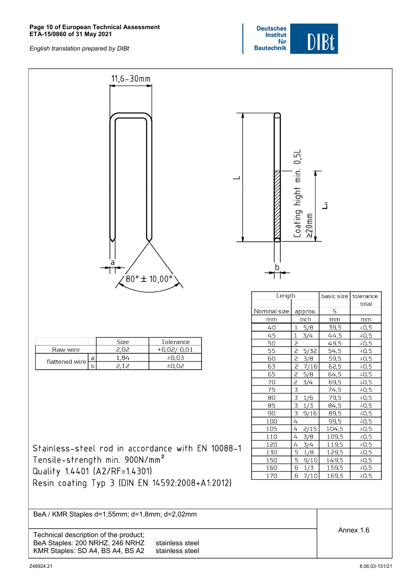#### **Page 10 of European Technical Assessment ETA-15/0860 of 31 May 2021**



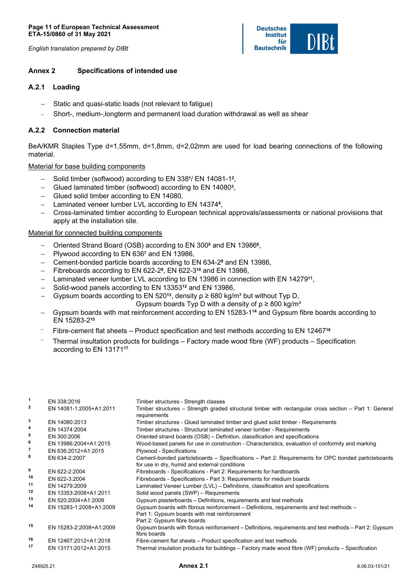*English translation prepared by DIBt* 

### **Deutsches Institut** für **Bautechnik**

# **Annex 2 Specifications of intended use**

# **A.2.1 Loading**

- Static and quasi-static loads (not relevant to fatigue)
- − Short-, medium-,longterm and permanent load duration withdrawal as well as shear

# **A.2.2 Connection material**

BeA/KMR Staples Type d=1,55mm, d=1,8mm, d=2,02mm are used for load bearing connections of the following material.

# Material for base building components

- − Solid timber (softwood) according to EN 338**1**/ EN 14081-1**2**,
- − Glued laminated timber (softwood) according to EN 14080**3**,
- − Glued solid timber according to EN 14080,
- − Laminated veneer lumber LVL according to EN 14374**4**,
- − Cross-laminated timber according to European technical approvals/assessments or national provisions that apply at the installation site.

# Material for connected building components

- − Oriented Strand Board (OSB) according to EN 300**5** and EN 13986**6**,
- − Plywood according to EN 636**7** and EN 13986,
- − Cement-bonded particle boards according to EN 634-2**8** and EN 13986,
- − Fibreboards according to EN 622-2**9**, EN 622-3**10** and EN 13986,
- − Laminated veneer lumber LVL according to EN 13986 in connection with EN 14279**11**,
- − Solid-wood panels according to EN 13353**12** and EN 13986,
- − Gypsum boards according to EN 520**13**, density ρ ≥ 680 kg/m³ but without Typ D,

Gypsum boards Typ D with a density of  $p \geq 800 \text{ kg/m}^3$ 

- − Gypsum boards with mat reinforcement according to EN 15283-1**14** and Gypsum fibre boards according to EN 15283-2**<sup>15</sup>**
- <sup>−</sup> Fibre-cement flat sheets Product specification and test methods according to EN 12467**<sup>16</sup>**
- <sup>−</sup> Thermal insultation products for buildings Factory made wood fibre (WF) products Specification according to EN 13171**<sup>17</sup>**

| $\mathbf{1}$            | EN 338:2016             | Timber structures - Strength classes                                                                                                                                   |
|-------------------------|-------------------------|------------------------------------------------------------------------------------------------------------------------------------------------------------------------|
| 2                       | EN 14081-1:2005+A1:2011 | Timber structures – Strength graded structural timber with rectangular cross section – Part 1: General<br>requirements                                                 |
| 3                       | EN 14080:2013           | Timber structures - Glued laminated timber and glued solid timber - Requirements                                                                                       |
| 4                       | EN 14374:2004           | Timber structures - Structural laminated veneer lumber - Requirements                                                                                                  |
| 5                       | EN 300:2006             | Oriented strand boards (OSB) – Definition, classification and specifications                                                                                           |
| 6                       | EN 13986:2004+A1:2015   | Wood-based panels for use in construction - Characteristics, evaluation of conformity and marking                                                                      |
| $\overline{\mathbf{r}}$ | EN 636:2012+A1:2015     | Plywood - Specifications                                                                                                                                               |
| 8                       | EN 634-2:2007           | Cement-bonded particleboards – Specifications – Part 2: Requirements for OPC bonded particleboards<br>for use in dry, humid and external conditions                    |
| 9                       | EN 622-2:2004           | Fibreboards - Specifications - Part 2: Requirements for hardboards                                                                                                     |
| 10                      | EN 622-3:2004           | Fibreboards - Specifications - Part 3: Requirements for medium boards                                                                                                  |
| 11                      | EN 14279:2009           | Laminated Veneer Lumber (LVL) – Definitions, classification and specifications                                                                                         |
| 12                      | EN 13353:2008+A1:2011   | Solid wood panels (SWP) - Requirements                                                                                                                                 |
| 13                      | EN 520:2004+A1:2009     | Gypsum plasterboards - Definitions, requirements and test methods                                                                                                      |
| 14                      | EN 15283-1:2008+A1:2009 | Gypsum boards with fibrous reinforcement – Definitions, requirements and test methods –<br>Part 1: Gypsum boards with mat reinforcement<br>Part 2: Gypsum fibre boards |
| 15                      | EN 15283-2:2008+A1:2009 | Gypsum boards with fibrous reinforcement – Definitions, requirements and test methods – Part 2: Gypsum<br>fibre boards                                                 |
| 16                      | EN 12467:2012+A1:2018   | Fibre-cement flat sheets – Product specification and test methods                                                                                                      |
| 17                      | EN 13171:2012+A1:2015   | Thermal insulation products for buildings – Factory made wood fibre (WF) products – Specification                                                                      |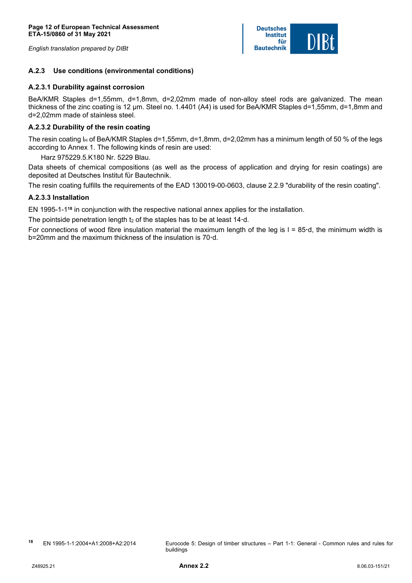*English translation prepared by DIBt* 



# **A.2.3 Use conditions (environmental conditions)**

## **A.2.3.1 Durability against corrosion**

BeA/KMR Staples d=1,55mm, d=1,8mm, d=2,02mm made of non-alloy steel rods are galvanized. The mean thickness of the zinc coating is 12 µm. Steel no. 1.4401 (A4) is used for BeA/KMR Staples d=1,55mm, d=1,8mm and d=2,02mm made of stainless steel.

# **A.2.3.2 Durability of the resin coating**

The resin coating  $I_H$  of BeA/KMR Staples d=1,55mm, d=1,8mm, d=2,02mm has a minimum length of 50 % of the legs according to Annex 1. The following kinds of resin are used:

Harz 975229.5.K180 Nr. 5229 Blau.

Data sheets of chemical compositions (as well as the process of application and drying for resin coatings) are deposited at Deutsches Institut für Bautechnik.

The resin coating fulfills the requirements of the EAD 130019-00-0603, clause 2.2.9 "durability of the resin coating".

# **A.2.3.3 Installation**

EN 1995-1-1**18** in conjunction with the respective national annex applies for the installation.

The pointside penetration length t<sub>2</sub> of the staples has to be at least 14<sup>-</sup>d.

For connections of wood fibre insulation material the maximum length of the leg is l = 85**·**d, the minimum width is b=20mm and the maximum thickness of the insulation is 70**·**d.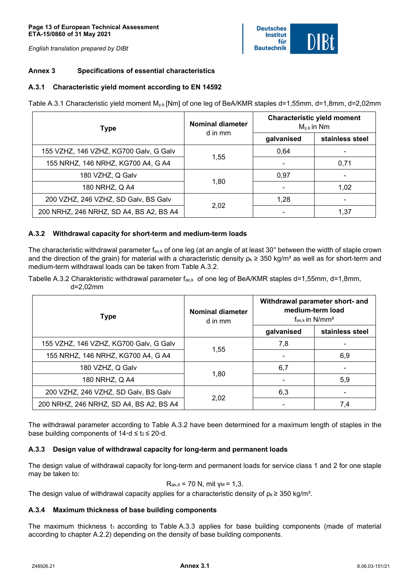#### **Page 13 of European Technical Assessment ETA-15/0860 of 31 May 2021**

*English translation prepared by DIBt* 

### **Deutsches Institut** für **Bautechnik**

# **Annex 3 Specifications of essential characteristics**

# **A.3.1 Characteristic yield moment according to EN 14592**

Table A.3.1 Characteristic yield moment M<sub>y,k</sub> [Nm] of one leg of BeA/KMR staples d=1,55mm, d=1,8mm, d=2,02mm

| <b>Type</b>                             | Nominal diameter<br>d in mm | <b>Characteristic yield moment</b><br>$M_{v,k}$ in Nm |                 |
|-----------------------------------------|-----------------------------|-------------------------------------------------------|-----------------|
|                                         |                             | galvanised                                            | stainless steel |
| 155 VZHZ, 146 VZHZ, KG700 Galv, G Galv  | 1,55                        | 0.64                                                  |                 |
| 155 NRHZ, 146 NRHZ, KG700 A4, G A4      |                             |                                                       | 0,71            |
| 180 VZHZ, Q Galv                        | 1,80                        | 0.97                                                  |                 |
| 180 NRHZ, Q A4                          |                             |                                                       | 1,02            |
| 200 VZHZ, 246 VZHZ, SD Galv, BS Galv    |                             | 1.28                                                  |                 |
| 200 NRHZ, 246 NRHZ, SD A4, BS A2, BS A4 | 2,02                        |                                                       | 1,37            |

# **A.3.2 Withdrawal capacity for short-term and medium-term loads**

The characteristic withdrawal parameter  $f_{ax,k}$  of one leg (at an angle of at least 30 $^{\circ}$  between the width of staple crown and the direction of the grain) for material with a characteristic density  $p_k \geq 350$  kg/m<sup>3</sup> as well as for short-term and medium-term withdrawal loads can be taken from Table A.3.2.

Tabelle A.3.2 Charakteristic withdrawal parameter  $f_{ax,k}$  of one leg of BeA/KMR staples d=1,55mm, d=1,8mm, d=2,02mm

| <b>Type</b>                             | <b>Nominal diameter</b><br>d in mm | Withdrawal parameter short- and<br>medium-term load<br>$f_{\rm ax,k}$ in N/mm <sup>2</sup> |                 |
|-----------------------------------------|------------------------------------|--------------------------------------------------------------------------------------------|-----------------|
|                                         |                                    | galvanised                                                                                 | stainless steel |
| 155 VZHZ, 146 VZHZ, KG700 Galv, G Galv  | 1,55                               | 7,8                                                                                        |                 |
| 155 NRHZ, 146 NRHZ, KG700 A4, G A4      |                                    |                                                                                            | 6,9             |
| 180 VZHZ, Q Galv                        |                                    | 6,7                                                                                        |                 |
| 180 NRHZ, Q A4                          | 1,80                               |                                                                                            | 5,9             |
| 200 VZHZ, 246 VZHZ, SD Galv, BS Galv    | 2,02                               | 6,3                                                                                        |                 |
| 200 NRHZ, 246 NRHZ, SD A4, BS A2, BS A4 |                                    |                                                                                            | 7,4             |

The withdrawal parameter according to Table A.3.2 have been determined for a maximum length of staples in the base building components of  $14 \cdot d \le t_2 \le 20 \cdot d$ .

# **A.3.3 Design value of withdrawal capacity for long-term and permanent loads**

The design value of withdrawal capacity for long-term and permanent loads for service class 1 and 2 for one staple may be taken to:

$$
R_{ax,d} = 70
$$
 N, mit  $\gamma_M = 1,3$ .

The design value of withdrawal capacity applies for a characteristic density of  $p_k \geq 350$  kg/m<sup>3</sup>.

## **A.3.4 Maximum thickness of base building components**

The maximum thickness  $t_1$  according to Table A.3.3 applies for base building components (made of material according to chapter A.2.2) depending on the density of base building components.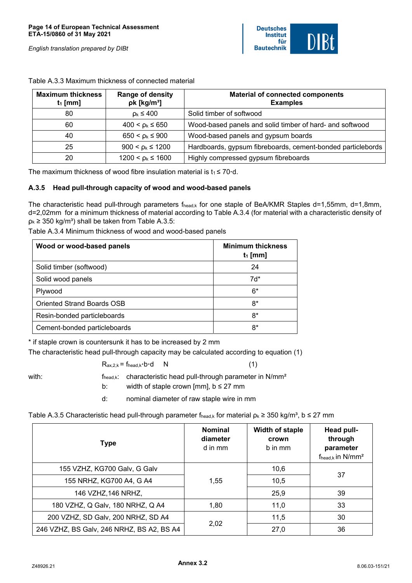

| <b>Maximum thickness</b><br>$t_1$ [mm] | Range of density<br>$pk$ [kg/m <sup>3</sup> ] | <b>Material of connected components</b><br><b>Examples</b>  |
|----------------------------------------|-----------------------------------------------|-------------------------------------------------------------|
| 80                                     | $p_k \leq 400$                                | Solid timber of softwood                                    |
| 60                                     | $400 < p_k \le 650$                           | Wood-based panels and solid timber of hard- and softwood    |
| 40                                     | $650 < p_k \le 900$                           | Wood-based panels and gypsum boards                         |
| 25                                     | $900 < p_k \le 1200$                          | Hardboards, gypsum fibreboards, cement-bonded particlebords |
| 20                                     | $1200 < p_k \le 1600$                         | Highly compressed gypsum fibreboards                        |

Table A.3.3 Maximum thickness of connected material

The maximum thickness of wood fibre insulation material is  $t_1 \leq 70 \cdot d$ .

# **A.3.5 Head pull-through capacity of wood and wood-based panels**

The characteristic head pull-through parameters flead,k for one staple of BeA/KMR Staples d=1,55mm, d=1,8mm, d=2,02mm for a minimum thickness of material according to Table A.3.4 (for material with a characteristic density of  $p_k \geq 350$  kg/m<sup>3</sup>) shall be taken from Table A.3.5:

| Wood or wood-based panels    | <b>Minimum thickness</b><br>$t_1$ [mm] |
|------------------------------|----------------------------------------|
| Solid timber (softwood)      | 24                                     |
| Solid wood panels            | $7d*$                                  |
| Plywood                      | $6*$                                   |
| Oriented Strand Boards OSB   | 8*                                     |
| Resin-bonded particleboards  | $8*$                                   |
| Cement-bonded particleboards | 8*                                     |

Table A.3.4 Minimum thickness of wood and wood-based panels

\* if staple crown is countersunk it has to be increased by 2 mm

The characteristic head pull-through capacity may be calculated according to equation (1)

 $R_{ax,2,k} = f_{head,k} \cdot b \cdot d$  N (1) with: f<sub>head,k</sub>: characteristic head pull-through parameter in N/mm<sup>2</sup>

b: width of staple crown [mm],  $b \leq 27$  mm

d: nominal diameter of raw staple wire in mm

Table A.3.5 Characteristic head pull-through parameter fhead,k for material  $p_k \ge 350$  kg/m<sup>3</sup>, b ≤ 27 mm

| <b>Type</b>                               | <b>Nominal</b><br>diameter<br>d in mm | Width of staple<br>crown<br>b in mm | Head pull-<br>through<br>parameter<br>$f_{head,k}$ in $N/mm^2$ |
|-------------------------------------------|---------------------------------------|-------------------------------------|----------------------------------------------------------------|
| 155 VZHZ, KG700 Galv, G Galv              |                                       | 10,6                                | 37                                                             |
| 155 NRHZ, KG700 A4, G A4                  | 1,55                                  | 10,5                                |                                                                |
| 146 VZHZ, 146 NRHZ,                       |                                       | 25,9                                | 39                                                             |
| 180 VZHZ, Q Galv, 180 NRHZ, Q A4          | 1,80                                  | 11,0                                | 33                                                             |
| 200 VZHZ, SD Galv, 200 NRHZ, SD A4        | 2,02                                  | 11,5                                | 30                                                             |
| 246 VZHZ, BS Galv, 246 NRHZ, BS A2, BS A4 |                                       | 27,0                                | 36                                                             |